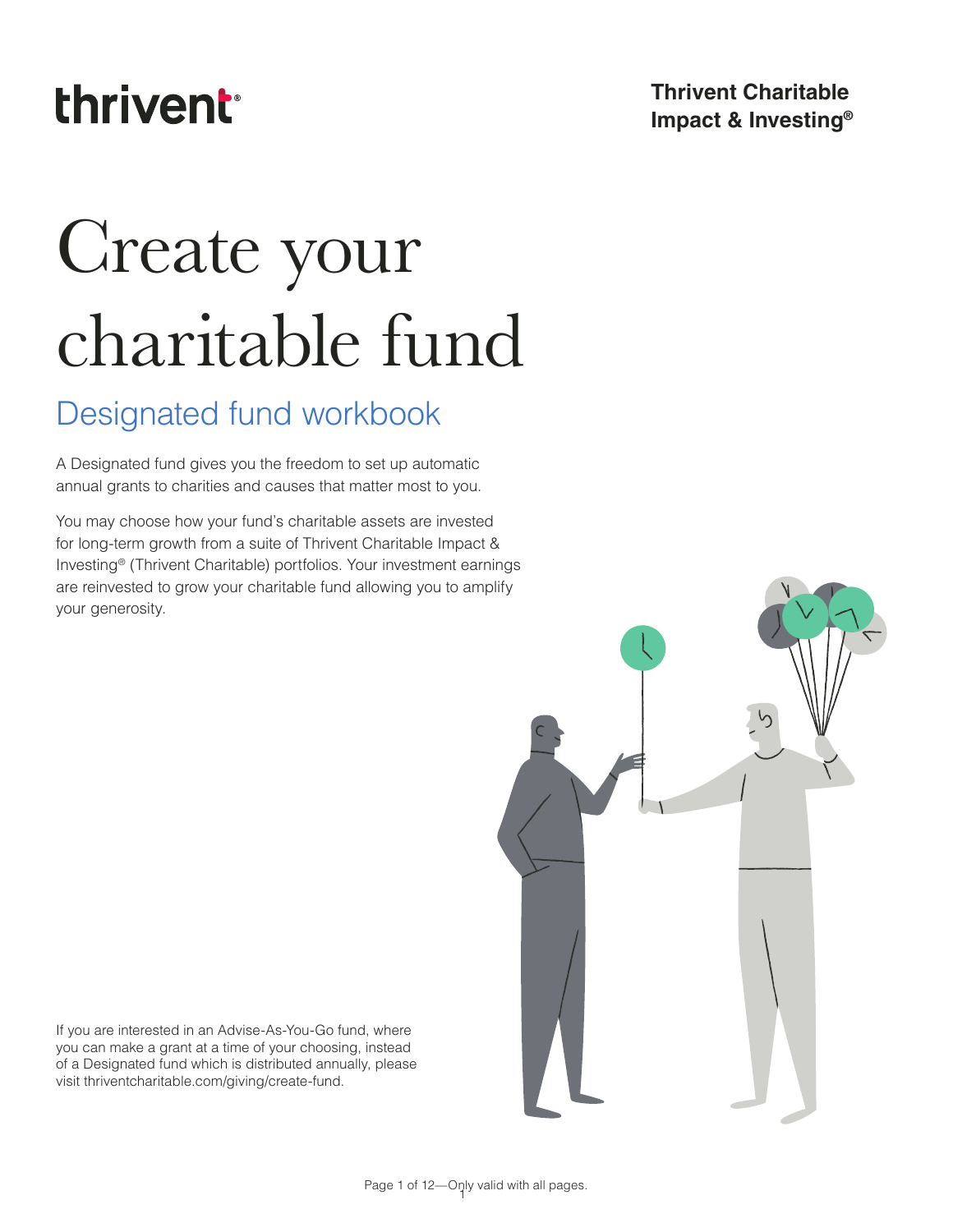## thrivent

### **Thrivent Charitable Impact & Investing®**

# Create your charitable fund

## Designated fund workbook

A Designated fund gives you the freedom to set up automatic annual grants to charities and causes that matter most to you.

You may choose how your fund's charitable assets are invested for long-term growth from a suite of Thrivent Charitable Impact & Investing® (Thrivent Charitable) portfolios. Your investment earnings are reinvested to grow your charitable fund allowing you to amplify your generosity.



If you are interested in an Advise-As-You-Go fund, where you can make a grant at a time of your choosing, instead of a Designated fund which is distributed annually, please visit thriventcharitable.com/giving/create-fund.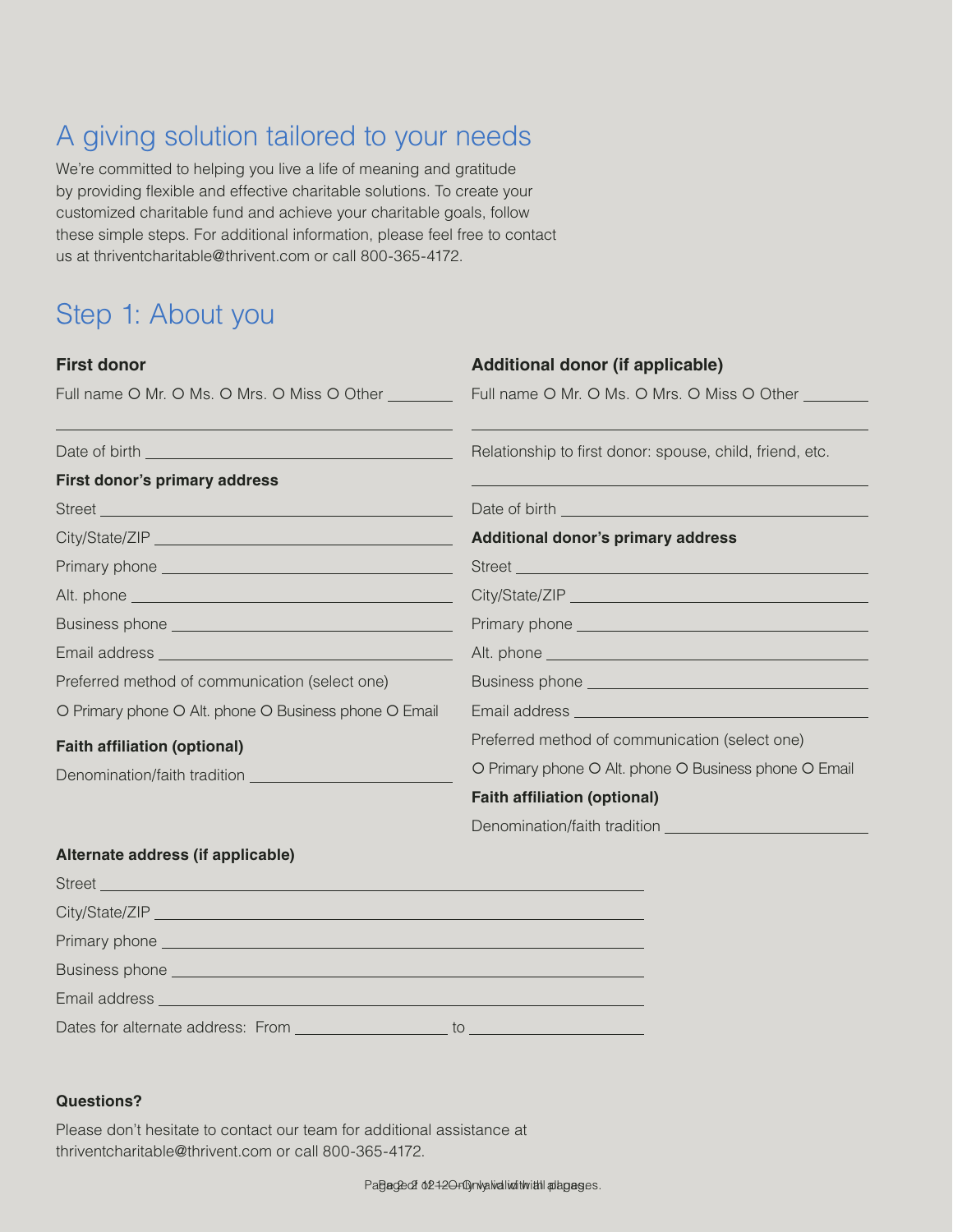## A giving solution tailored to your needs

We're committed to helping you live a life of meaning and gratitude by providing flexible and effective charitable solutions. To create your customized charitable fund and achieve your charitable goals, follow these simple steps. For additional information, please feel free to contact us at thriventcharitable@thrivent.com or call 800-365-4172.

## Step 1: About you

| <b>First donor</b>                                                                                                                                                                                                                   | <b>Additional donor (if applicable)</b>                                                                                                                                                                                              |
|--------------------------------------------------------------------------------------------------------------------------------------------------------------------------------------------------------------------------------------|--------------------------------------------------------------------------------------------------------------------------------------------------------------------------------------------------------------------------------------|
| Full name O Mr. O Ms. O Mrs. O Miss O Other <b>Communist Communist Communist Communist Communist Communist Communist Communist Communist Communist Communist Communist Communist Communist Communist Communist Communist Communi</b> | Full name O Mr. O Ms. O Mrs. O Miss O Other                                                                                                                                                                                          |
|                                                                                                                                                                                                                                      | Relationship to first donor: spouse, child, friend, etc.                                                                                                                                                                             |
| First donor's primary address                                                                                                                                                                                                        |                                                                                                                                                                                                                                      |
|                                                                                                                                                                                                                                      |                                                                                                                                                                                                                                      |
|                                                                                                                                                                                                                                      | Additional donor's primary address                                                                                                                                                                                                   |
| Primary phone entertainment and the primary phone entertainment and the primary phone of the state of the state of the state of the state of the state of the state of the state of the state of the state of the state of the       |                                                                                                                                                                                                                                      |
|                                                                                                                                                                                                                                      |                                                                                                                                                                                                                                      |
|                                                                                                                                                                                                                                      |                                                                                                                                                                                                                                      |
|                                                                                                                                                                                                                                      |                                                                                                                                                                                                                                      |
| Preferred method of communication (select one)                                                                                                                                                                                       |                                                                                                                                                                                                                                      |
| O Primary phone O Alt. phone O Business phone O Email                                                                                                                                                                                | Email address <b>contract to the contract of the contract of the contract of the contract of the contract of the contract of the contract of the contract of the contract of the contract of the contract of the contract of the</b> |
| <b>Faith affiliation (optional)</b>                                                                                                                                                                                                  | Preferred method of communication (select one)                                                                                                                                                                                       |
|                                                                                                                                                                                                                                      | O Primary phone O Alt. phone O Business phone O Email                                                                                                                                                                                |
|                                                                                                                                                                                                                                      | <b>Faith affiliation (optional)</b>                                                                                                                                                                                                  |
|                                                                                                                                                                                                                                      |                                                                                                                                                                                                                                      |
| Alternate address (if annlicable)                                                                                                                                                                                                    |                                                                                                                                                                                                                                      |

#### **Alternate address (if applicable)**

| Dates for alternate address: From<br>to |
|-----------------------------------------|

#### **Questions? Questions?**

Please don't hesitate to contact our team for additional assistance at at thriventcharitable@thrivent.com or call 800-365-4172. thriventcharitable@thrivent.com or call 800-365-4172.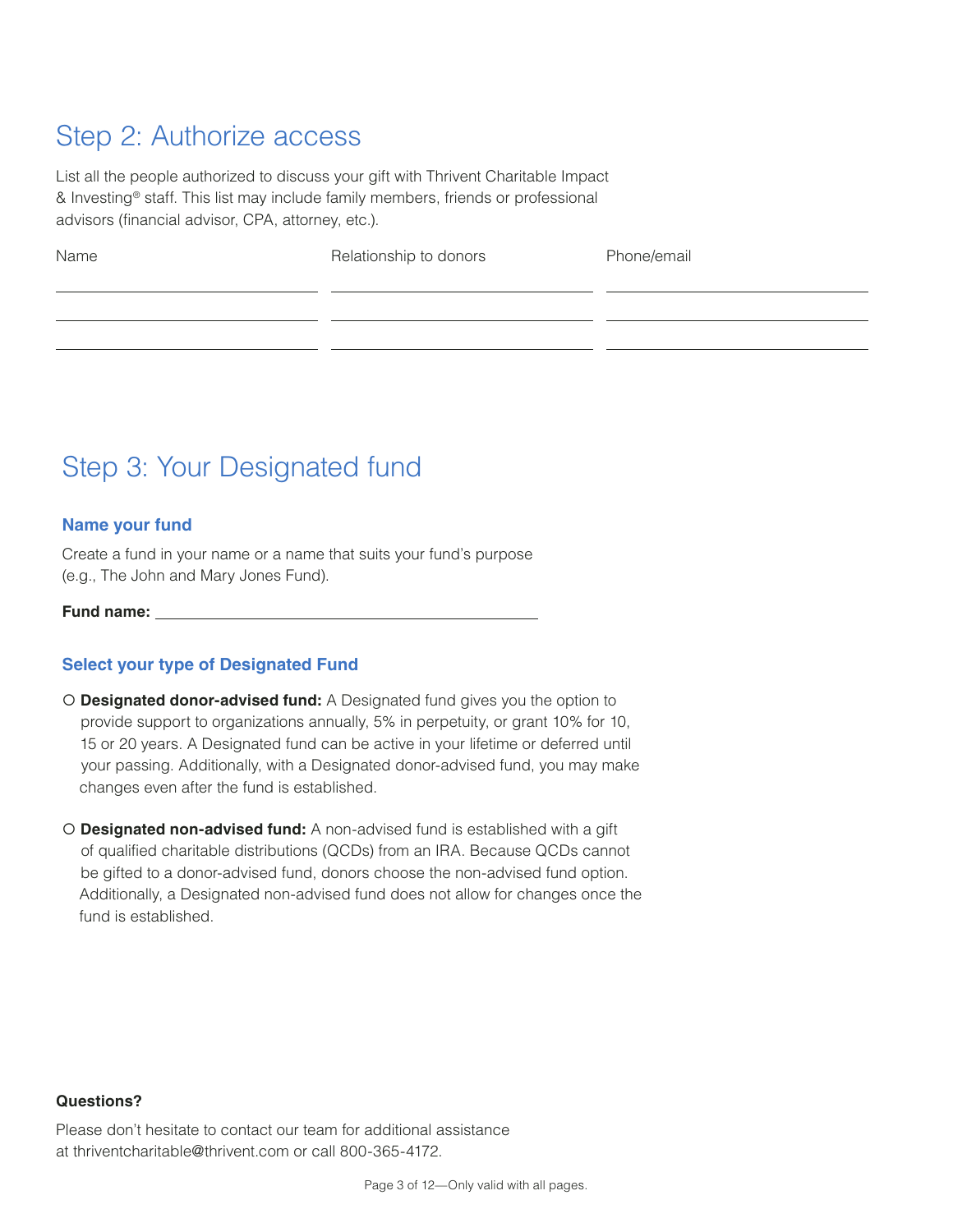## Step 2: Authorize access

List all the people authorized to discuss your gift with Thrivent Charitable Impact & Investing® staff. This list may include family members, friends or professional advisors (financial advisor, CPA, attorney, etc.).

Name **Relationship to donors** Phone/email

## Step 3: Your Designated fund

#### **Name your fund**

Create a fund in your name or a name that suits your fund's purpose (e.g., The John and Mary Jones Fund).

**Fund name:** 

#### **Select your type of Designated Fund**

- **Designated donor-advised fund:** A Designated fund gives you the option to provide support to organizations annually, 5% in perpetuity, or grant 10% for 10, 15 or 20 years. A Designated fund can be active in your lifetime or deferred until your passing. Additionally, with a Designated donor-advised fund, you may make changes even after the fund is established.
- **Designated non-advised fund:** A non-advised fund is established with a gift of qualified charitable distributions (QCDs) from an IRA. Because QCDs cannot be gifted to a donor-advised fund, donors choose the non-advised fund option. Additionally, a Designated non-advised fund does not allow for changes once the fund is established.

#### **Questions?**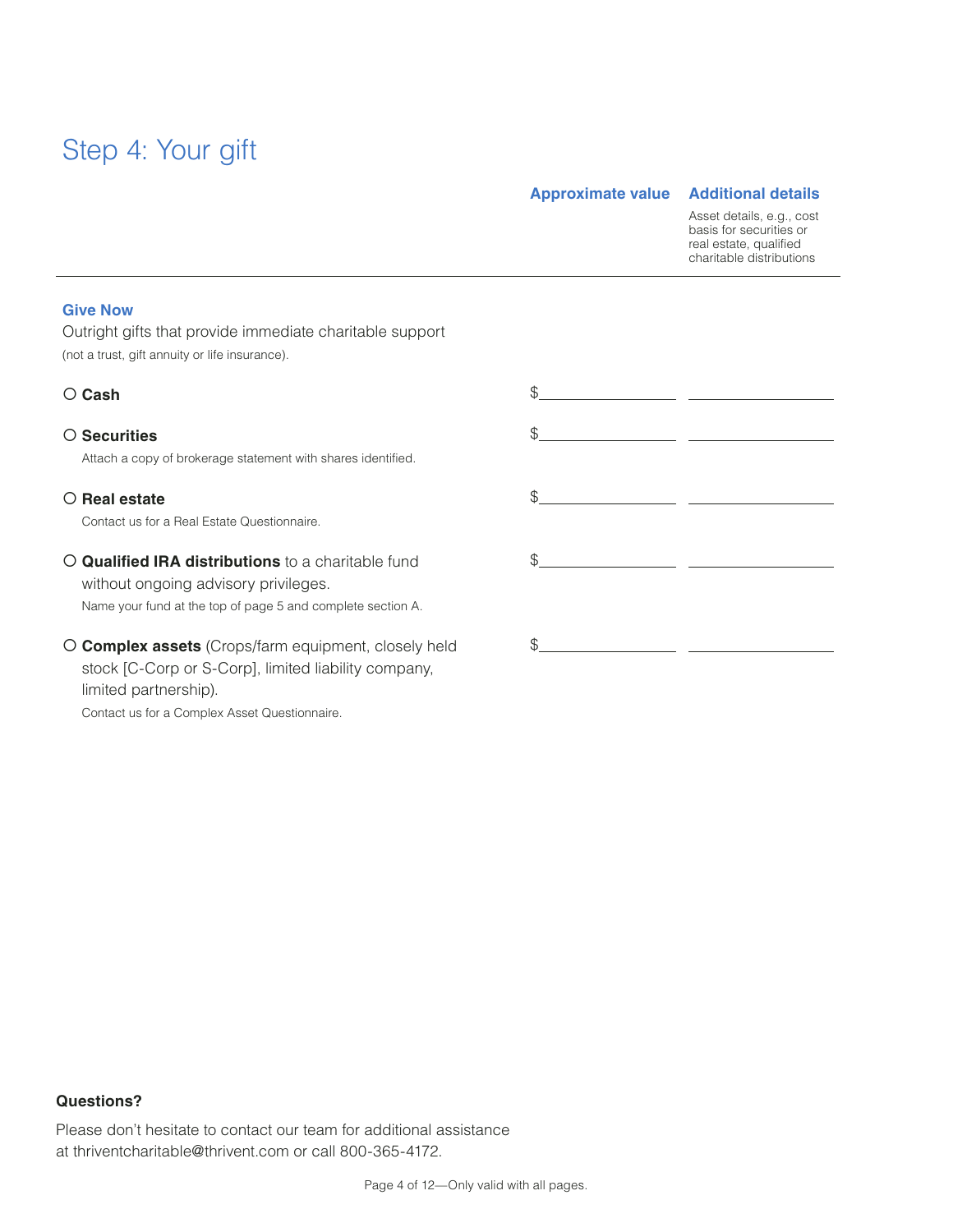## Step 4: Your gift

#### **Approximate value Additional details**

Asset details, e.g., cost basis for securities or real estate, qualified charitable distributions

#### **Give Now**

Outright gifts that provide immediate charitable support (not a trust, gift annuity or life insurance).

#### **Cash** \$

#### **Securities**

Attach a copy of brokerage statement with shares identified.

#### **Real estate**

Contact us for a Real Estate Questionnaire.

 **Qualified IRA distributions** to a charitable fund without ongoing advisory privileges. Name your fund at the top of page 5 and complete section A.

 **Complex assets** (Crops/farm equipment, closely held stock [C-Corp or S-Corp], limited liability company, limited partnership).

Contact us for a Complex Asset Questionnaire.

| $\frac{1}{2}$                                                                                                                                                                                                                                                                                                                                                       |  |
|---------------------------------------------------------------------------------------------------------------------------------------------------------------------------------------------------------------------------------------------------------------------------------------------------------------------------------------------------------------------|--|
| $\frac{1}{2}$                                                                                                                                                                                                                                                                                                                                                       |  |
| $\begin{picture}(20,10) \put(0,0){\vector(1,0){100}} \put(15,0){\vector(1,0){100}} \put(15,0){\vector(1,0){100}} \put(15,0){\vector(1,0){100}} \put(15,0){\vector(1,0){100}} \put(15,0){\vector(1,0){100}} \put(15,0){\vector(1,0){100}} \put(15,0){\vector(1,0){100}} \put(15,0){\vector(1,0){100}} \put(15,0){\vector(1,0){100}} \put(15,0){\vector(1,0){100}} \$ |  |
|                                                                                                                                                                                                                                                                                                                                                                     |  |
|                                                                                                                                                                                                                                                                                                                                                                     |  |
|                                                                                                                                                                                                                                                                                                                                                                     |  |
| \$                                                                                                                                                                                                                                                                                                                                                                  |  |

#### **Questions?**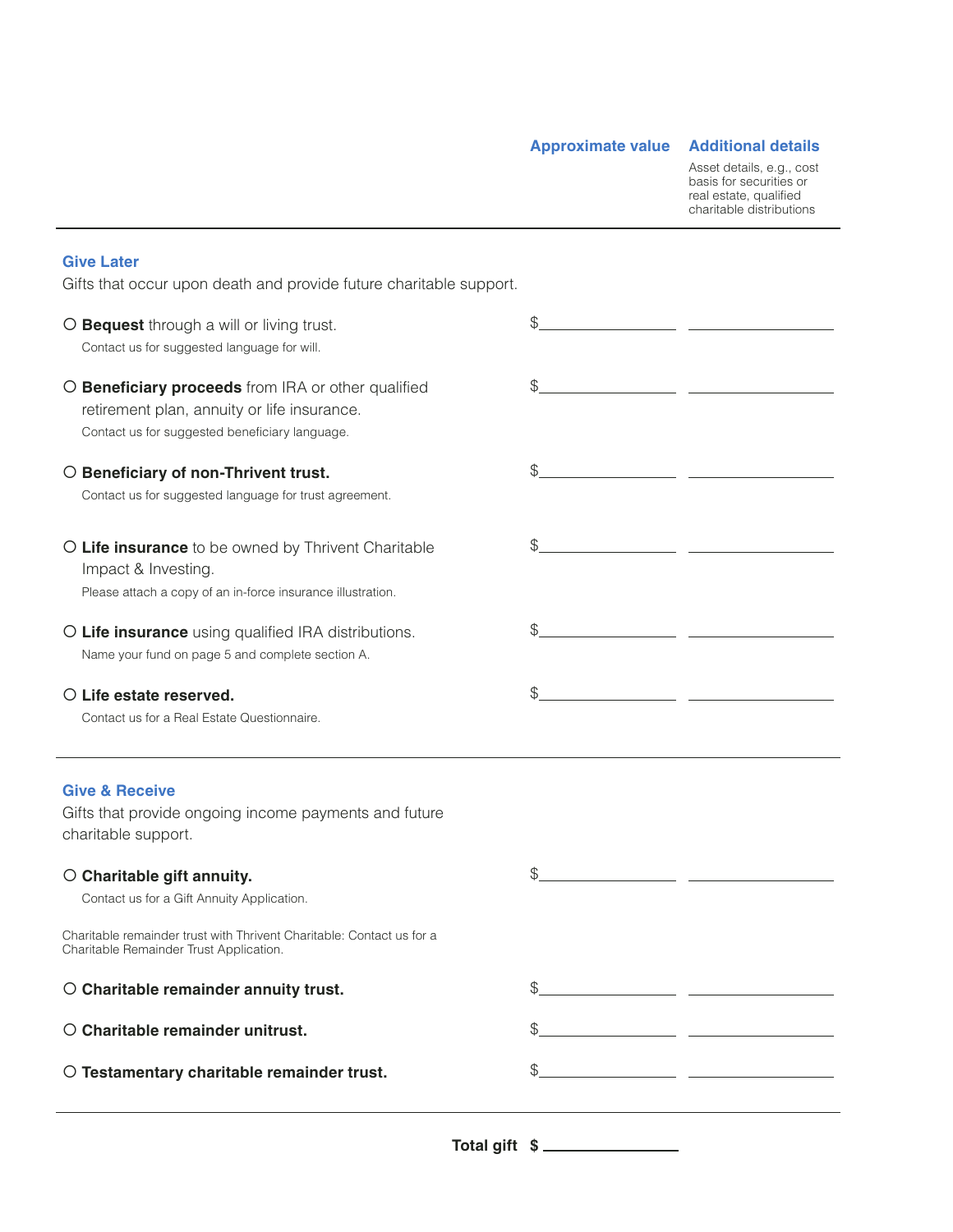**Approximate value Additional details**

Asset details, e.g., cost basis for securities or real estate, qualified charitable distributions

#### **Give Later** Gifts that occur upon death and provide future charitable support. \$ **Bequest** through a will or living trust. Contact us for suggested language for will. **Beneficiary proceeds** from IRA or other qualified  $\mathcal{L}$ retirement plan, annuity or life insurance. Contact us for suggested beneficiary language.  $\frac{1}{2}$  **Beneficiary of non-Thrivent trust.** Contact us for suggested language for trust agreement. **Life insurance** to be owned by Thrivent Charitable  $$\circ$$ Impact & Investing. Please attach a copy of an in-force insurance illustration. **Life insurance** using qualified IRA distributions.  $$\circ$$ Name your fund on page 5 and complete section A. **Life estate reserved.**  $$\mathbb{S}$$ Contact us for a Real Estate Questionnaire. **Give & Receive** Gifts that provide ongoing income payments and future charitable support. **Charitable gift annuity.**  $$\mathbb{S}$$ Contact us for a Gift Annuity Application. Charitable remainder trust with Thrivent Charitable: Contact us for a Charitable Remainder Trust Application. **Charitable remainder annuity trust.** \$ **Charitable remainder unitrust.** \$ **Testamentary charitable remainder trust.** \$

**Total gift \$**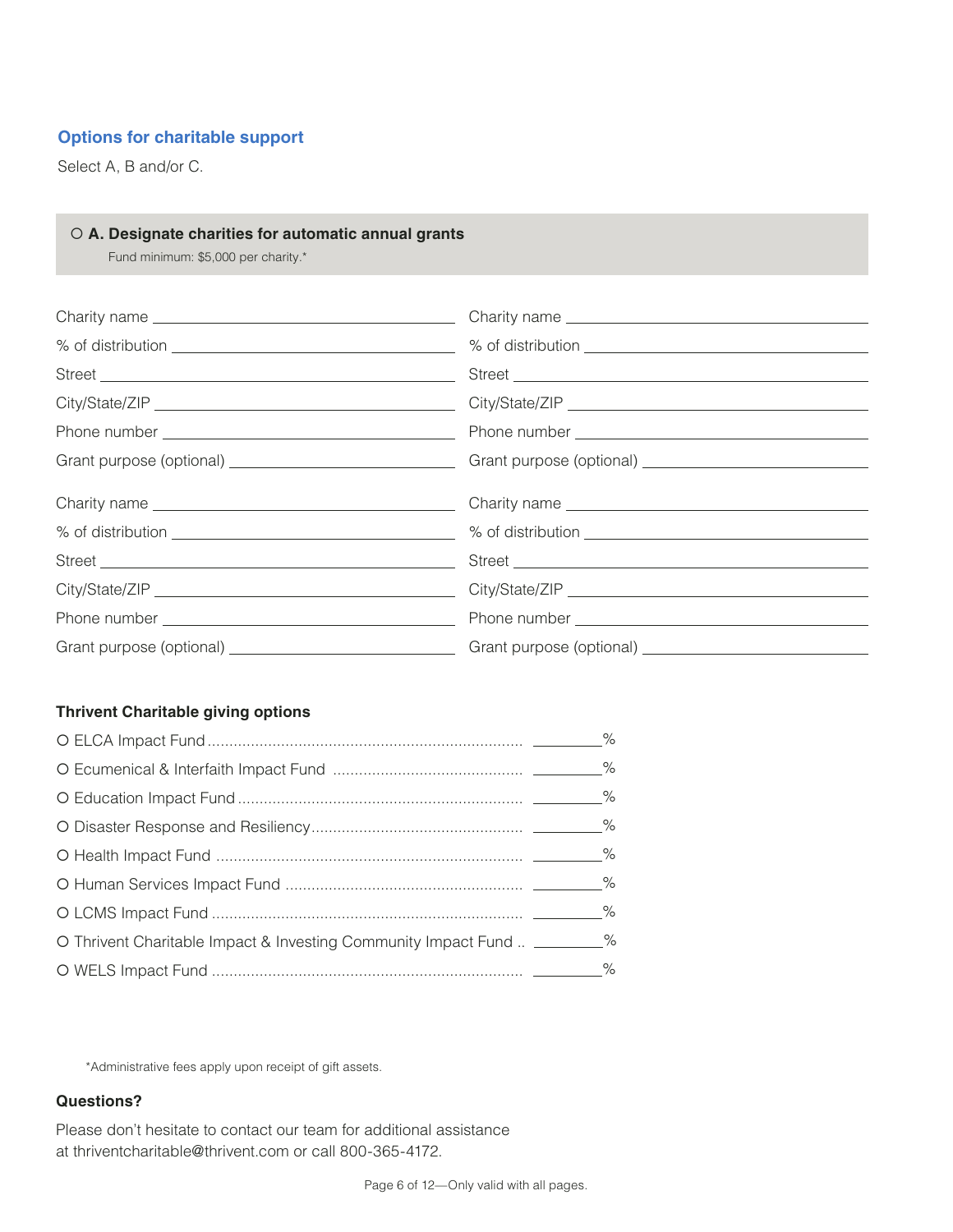#### **Options for charitable support**

Select A, B and/or C.

#### **A. Designate charities for automatic annual grants**

Fund minimum: \$5,000 per charity.\*

#### **Thrivent Charitable giving options**

| O Thrivent Charitable Impact & Investing Community Impact Fund  _________% |  |
|----------------------------------------------------------------------------|--|
|                                                                            |  |

\*Administrative fees apply upon receipt of gift assets.

#### **Questions?**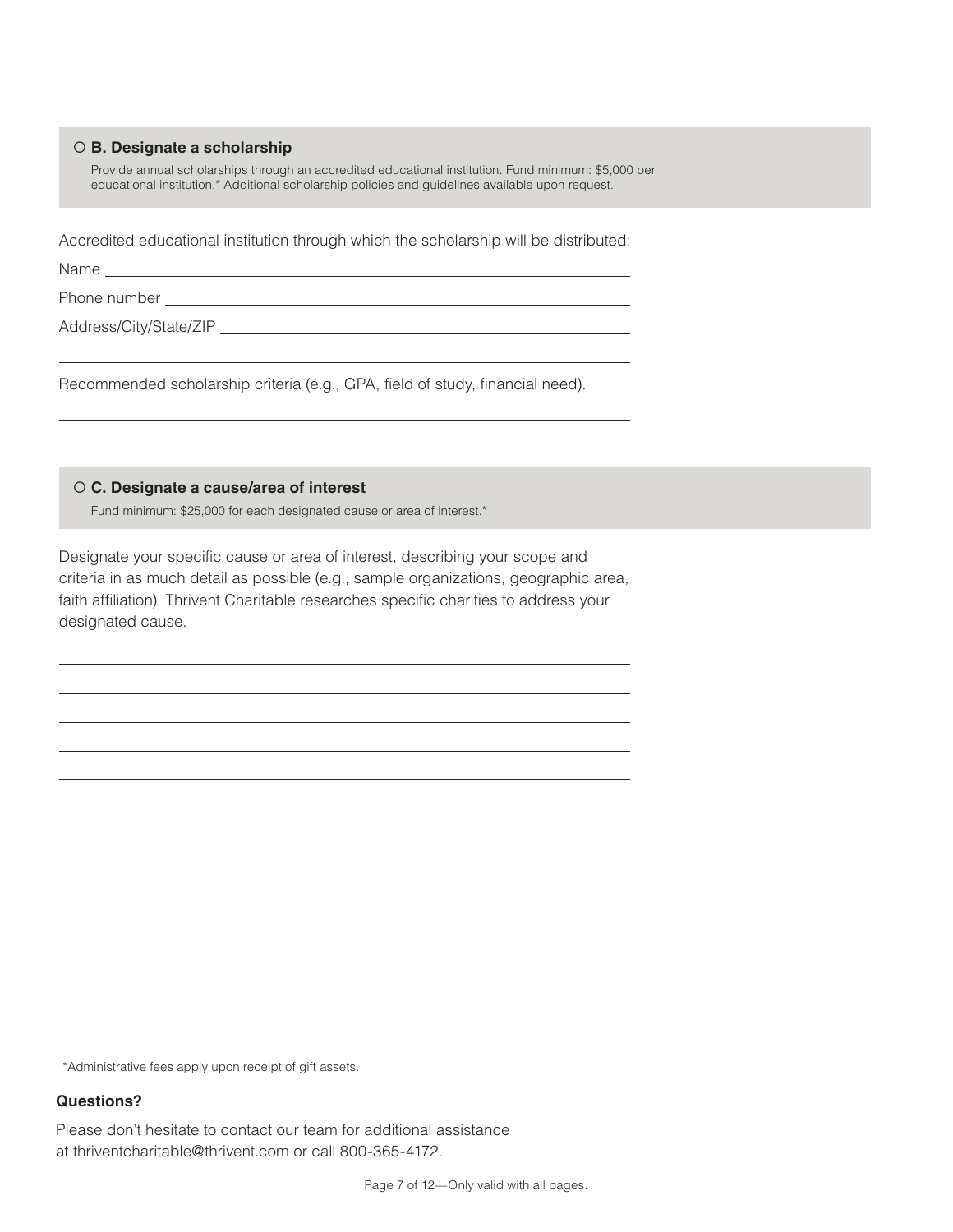#### **B. Designate a scholarship**

Provide annual scholarships through an accredited educational institution. Fund minimum: \$5,000 per educational institution.\* Additional scholarship policies and guidelines available upon request.

Accredited educational institution through which the scholarship will be distributed: 

Name \_\_\_\_\_

Phone number

Address/City/State/ZIP

Recommended scholarship criteria (e.g., GPA, field of study, financial need).

**C. Designate a cause/area of interest**

Fund minimum: \$25,000 for each designated cause or area of interest.\*

Designate your specific cause or area of interest, describing your scope and criteria in as much detail as possible (e.g., sample organizations, geographic area, faith affiliation). Thrivent Charitable researches specific charities to address your designated cause.

\*Administrative fees apply upon receipt of gift assets.

#### **Questions?**

Please don't hesitate to contact our team for additional assistance at thriventcharitable@thrivent.com or call 800-365-4172.

Page 7 of 12—Only valid with all pages.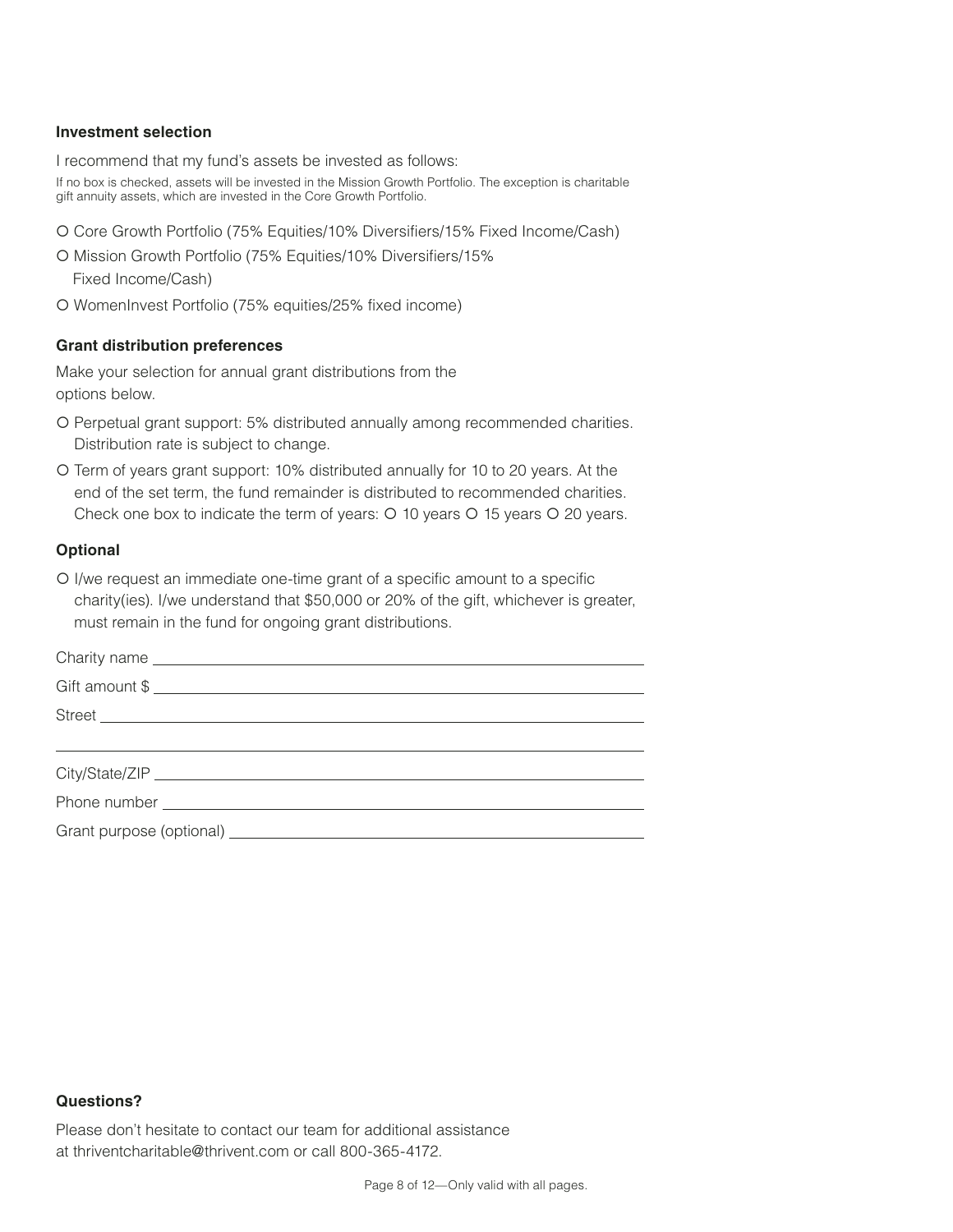#### **Investment selection**

I recommend that my fund's assets be invested as follows:

If no box is checked, assets will be invested in the Mission Growth Portfolio. The exception is charitable gift annuity assets, which are invested in the Core Growth Portfolio.

- Core Growth Portfolio (75% Equities/10% Diversifiers/15% Fixed Income/Cash)
- O Mission Growth Portfolio (75% Equities/10% Diversifiers/15%

Fixed Income/Cash)

WomenInvest Portfolio (75% equities/25% fixed income)

#### **Grant distribution preferences**

Make your selection for annual grant distributions from the options below.

- Perpetual grant support: 5% distributed annually among recommended charities. Distribution rate is subject to change.
- Term of years grant support: 10% distributed annually for 10 to 20 years. At the end of the set term, the fund remainder is distributed to recommended charities. Check one box to indicate the term of years:  $O$  10 years  $O$  15 years  $O$  20 years.

#### **Optional**

 I/we request an immediate one-time grant of a specific amount to a specific charity(ies). I/we understand that \$50,000 or 20% of the gift, whichever is greater, must remain in the fund for ongoing grant distributions.

#### **Questions?**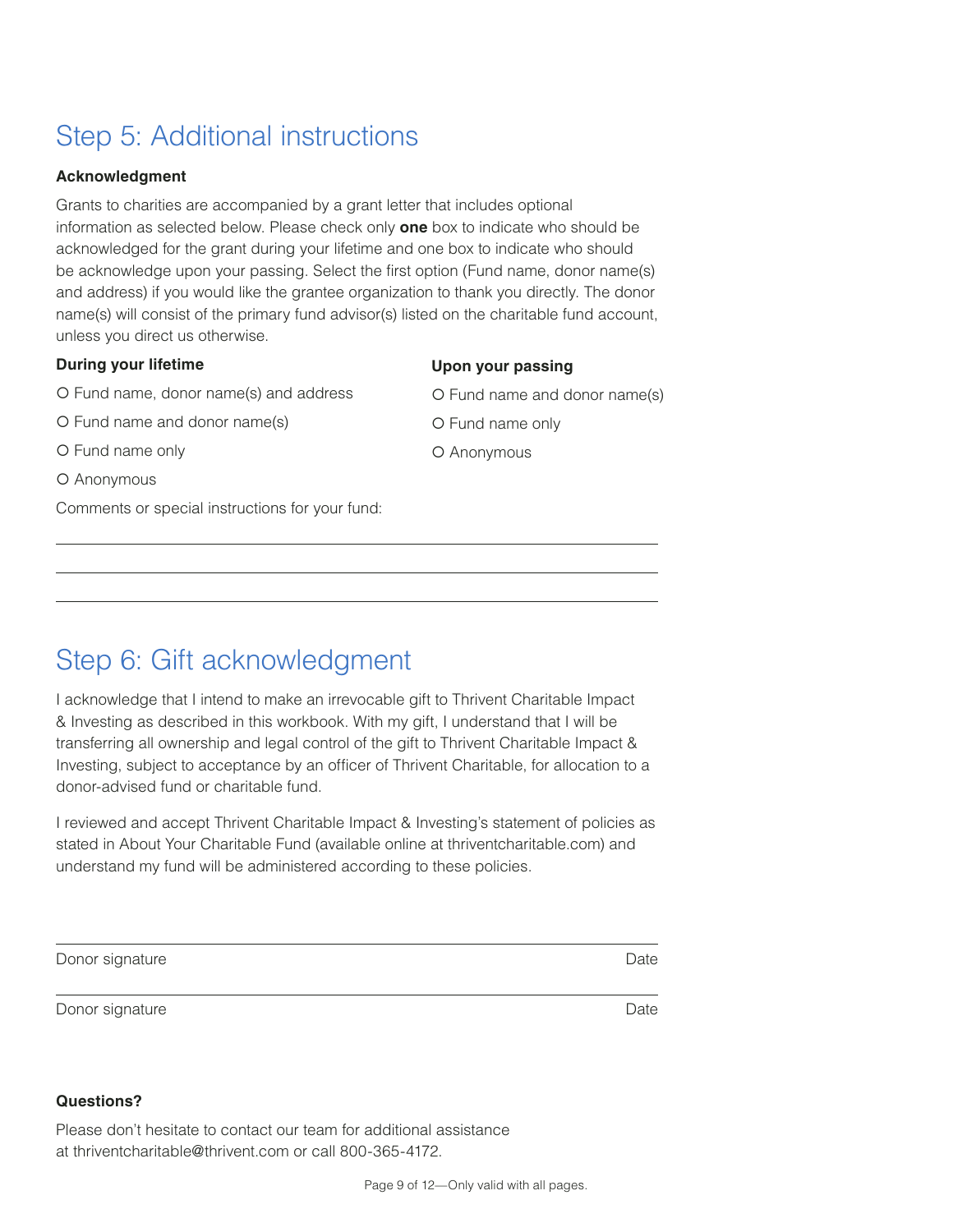## Step 5: Additional instructions

#### **Acknowledgment**

Grants to charities are accompanied by a grant letter that includes optional information as selected below. Please check only **one** box to indicate who should be acknowledged for the grant during your lifetime and one box to indicate who should be acknowledge upon your passing. Select the first option (Fund name, donor name(s) and address) if you would like the grantee organization to thank you directly. The donor name(s) will consist of the primary fund advisor(s) listed on the charitable fund account, unless you direct us otherwise.

#### **During your lifetime**

Fund name, donor name(s) and address

Fund name and donor name(s)

Fund name only

O Anonymous

Comments or special instructions for your fund:

#### **Upon your passing**

Fund name and donor name(s)

Fund name only

O Anonymous

## Step 6: Gift acknowledgment

I acknowledge that I intend to make an irrevocable gift to Thrivent Charitable Impact & Investing as described in this workbook. With my gift, I understand that I will be transferring all ownership and legal control of the gift to Thrivent Charitable Impact & Investing, subject to acceptance by an officer of Thrivent Charitable, for allocation to a donor-advised fund or charitable fund.

I reviewed and accept Thrivent Charitable Impact & Investing's statement of policies as stated in About Your Charitable Fund (available online at thriventcharitable.com) and understand my fund will be administered according to these policies.

| Donor signature | Date |
|-----------------|------|
| Donor signature | Date |

#### **Questions?**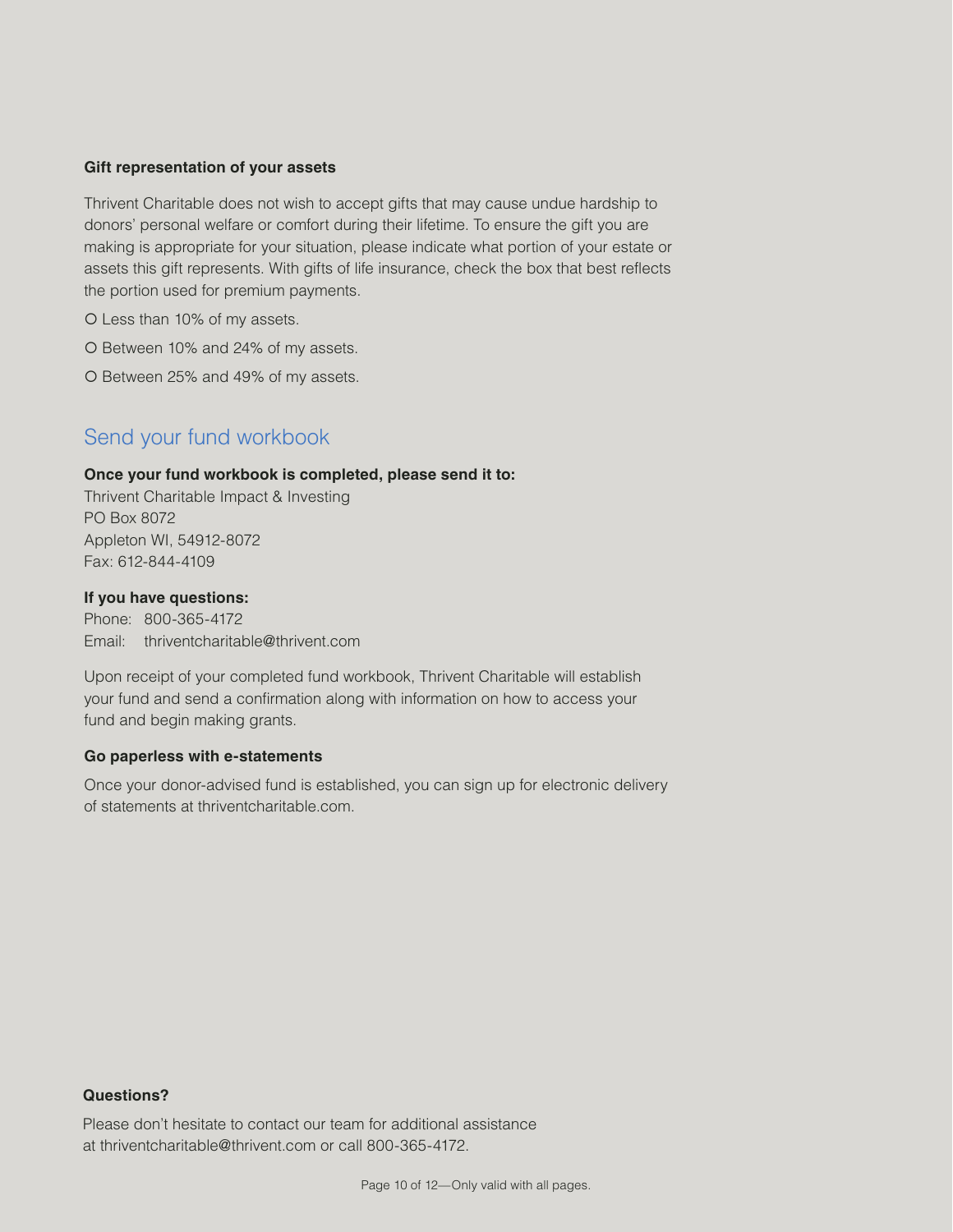#### **Gift representation of your assets**

Thrivent Charitable does not wish to accept gifts that may cause undue hardship to donors' personal welfare or comfort during their lifetime. To ensure the gift you are making is appropriate for your situation, please indicate what portion of your estate or assets this gift represents. With gifts of life insurance, check the box that best reflects the portion used for premium payments.

O Less than 10% of my assets.

O Between 10% and 24% of my assets.

O Between 25% and 49% of my assets.

#### Send your fund workbook

#### **Once your fund workbook is completed, please send it to:**

Thrivent Charitable Impact & Investing PO Box 8072 Appleton WI, 54912-8072 Fax: 612-844-4109

#### **If you have questions:**

Phone: 800-365-4172 Email: thriventcharitable@thrivent.com

Upon receipt of your completed fund workbook, Thrivent Charitable will establish your fund and send a confirmation along with information on how to access your fund and begin making grants.

#### **Go paperless with e-statements**

Once your donor-advised fund is established, you can sign up for electronic delivery of statements at thriventcharitable.com.

#### **Questions? Questions?**

Please don't hesitate to contact our team for additional assistance Please don't hesitate to contact our team for additional assistance at thriventcharitable@thrivent.com or call 800-365-4172. at thriventcharitable@thrivent.com or call 800-365-4172.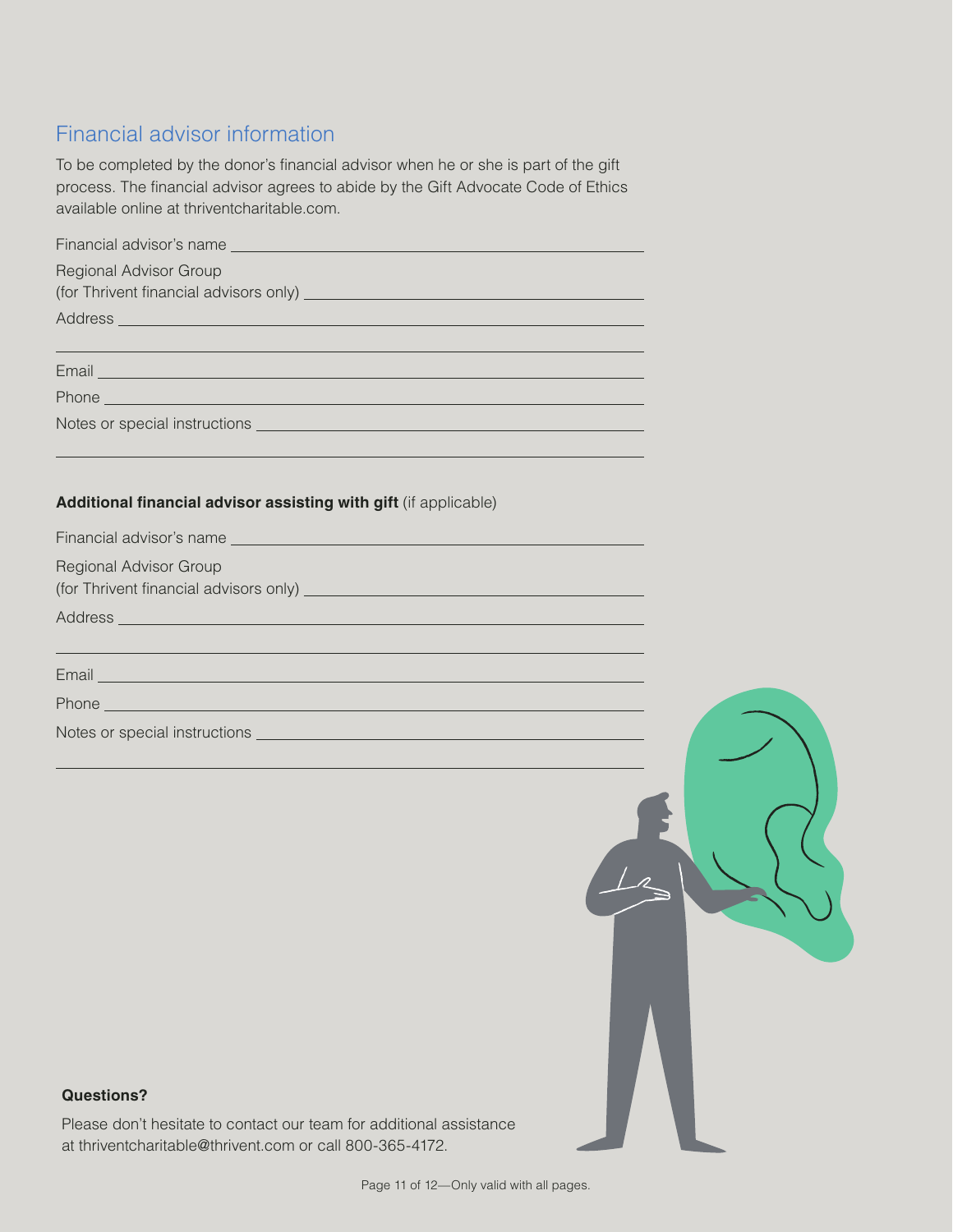#### Financial advisor information

To be completed by the donor's financial advisor when he or she is part of the gift process. The financial advisor agrees to abide by the Gift Advocate Code of Ethics available online at thriventcharitable.com.

| <b>Regional Advisor Group</b>                                                                                                                                                                                                        |
|--------------------------------------------------------------------------------------------------------------------------------------------------------------------------------------------------------------------------------------|
|                                                                                                                                                                                                                                      |
| Address entertainment and the contract of the contract of the contract of the contract of the contract of the                                                                                                                        |
|                                                                                                                                                                                                                                      |
| Email <u>Party and the contract of the contract of the contract of the contract of the contract of the contract of</u>                                                                                                               |
| Phone <u>Phone and the contract of the contract of the contract of the contract of the contract of the contract of the contract of the contract of the contract of the contract of the contract of the contract of the contract </u> |
|                                                                                                                                                                                                                                      |
|                                                                                                                                                                                                                                      |
|                                                                                                                                                                                                                                      |
| Additional financial advisor assisting with gift (if applicable)                                                                                                                                                                     |
|                                                                                                                                                                                                                                      |
| <b>Regional Advisor Group</b>                                                                                                                                                                                                        |
|                                                                                                                                                                                                                                      |
| (for Thrivent financial advisors only) entertainment and the control of the control of the control of                                                                                                                                |
|                                                                                                                                                                                                                                      |
| Address and the company of the company of the company of the company of the company of the company of the company of the company of the company of the company of the company of the company of the company of the company of        |
| ,我们也不能在这里的时候,我们也不能在这里的时候,我们也不能会在这里的时候,我们也不能会在这里的时候,我们也不能会在这里的时候,我们也不能会在这里的时候,我们也                                                                                                                                                     |
| Email <u>Party and the company of the company of the company of the company of the company of the company of the company of the company of the company of the company of the company of the company of the company of the compan</u> |
| Phone <u>that the contract of the contract of the contract of the contract of the contract of the contract of the contract of the contract of the contract of the contract of the contract of the contract of the contract of th</u> |
|                                                                                                                                                                                                                                      |

#### **Questions? Questions?**

Please don't hesitate to contact our team for additional assistance Please don't hesitate to contact our team for additional assistance at thriventcharitable@thrivent.com or call 800-365-4172. at thriventcharitable@thrivent.com or call 800-365-4172.